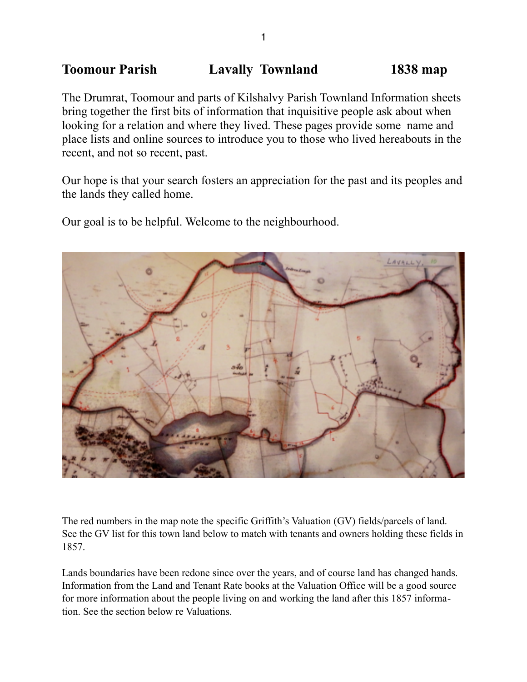# **Toomour Parish Lavally Townland 1838 map**

The Drumrat, Toomour and parts of Kilshalvy Parish Townland Information sheets bring together the first bits of information that inquisitive people ask about when looking for a relation and where they lived. These pages provide some name and place lists and online sources to introduce you to those who lived hereabouts in the recent, and not so recent, past.

Our hope is that your search fosters an appreciation for the past and its peoples and the lands they called home.

Our goal is to be helpful. Welcome to the neighbourhood.



The red numbers in the map note the specific Griffith's Valuation (GV) fields/parcels of land. See the GV list for this town land below to match with tenants and owners holding these fields in 1857.

Lands boundaries have been redone since over the years, and of course land has changed hands. Information from the Land and Tenant Rate books at the Valuation Office will be a good source for more information about the people living on and working the land after this 1857 information. See the section below re Valuations.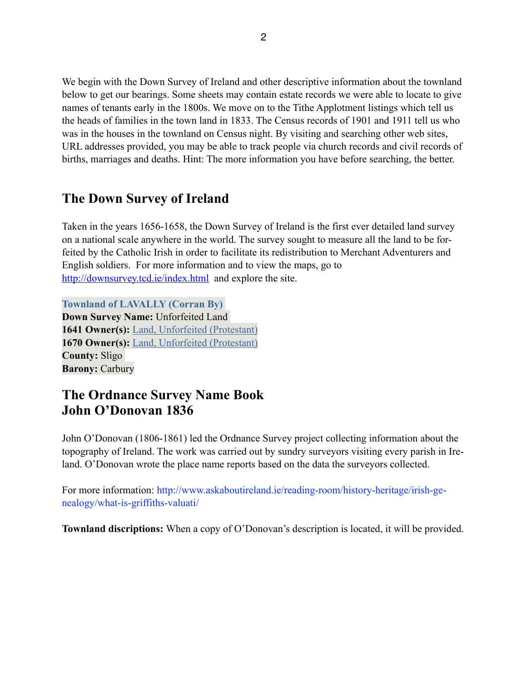We begin with the Down Survey of Ireland and other descriptive information about the townland below to get our bearings. Some sheets may contain estate records we were able to locate to give names of tenants early in the 1800s. We move on to the Tithe Applotment listings which tell us the heads of families in the town land in 1833. The Census records of 1901 and 1911 tell us who was in the houses in the townland on Census night. By visiting and searching other web sites, URL addresses provided, you may be able to track people via church records and civil records of births, marriages and deaths. Hint: The more information you have before searching, the better.

## **The Down Survey of Ireland**

Taken in the years 1656-1658, the Down Survey of Ireland is the first ever detailed land survey on a national scale anywhere in the world. The survey sought to measure all the land to be forfeited by the Catholic Irish in order to facilitate its redistribution to Merchant Adventurers and English soldiers. For more information and to view the maps, go to <http://downsurvey.tcd.ie/index.html>and explore the site.

**Townland of LAVALLY (Corran By) Down Survey Name:** Unforfeited Land **1641 Owner(s):** [Land, Unforfeited \(Protestant\)](http://downsurvey.tcd.ie/landowners.php#l1=Land,%20Unforfeited) **1670 Owner(s):** [Land, Unforfeited \(Protestant\)](http://downsurvey.tcd.ie/landowners.php#l4=Land,%20Unforfeited) **County:** Sligo **Barony:** Carbury

# **The Ordnance Survey Name Book John O'Donovan 1836**

John O'Donovan (1806-1861) led the Ordnance Survey project collecting information about the topography of Ireland. The work was carried out by sundry surveyors visiting every parish in Ireland. O'Donovan wrote the place name reports based on the data the surveyors collected.

For more information: http://www.askaboutireland.ie/reading-room/history-heritage/irish-genealogy/what-is-griffiths-valuati/

**Townland discriptions:** When a copy of O'Donovan's description is located, it will be provided.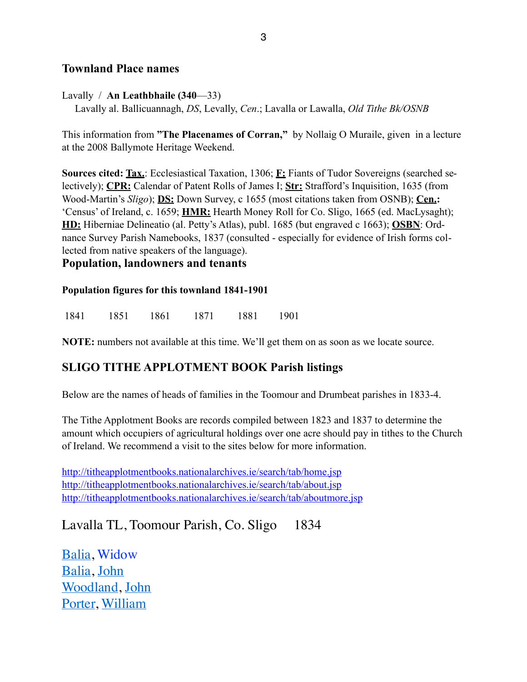### **Townland Place names**

Lavally / **An Leathbhaile (340**—33)

Lavally al. Ballicuannagh, *DS*, Levally, *Cen*.; Lavalla or Lawalla, *Old Tithe Bk/OSNB*

This information from **"The Placenames of Corran,"** by Nollaig O Muraile, given in a lecture at the 2008 Ballymote Heritage Weekend.

**Sources cited: Tax.**: Ecclesiastical Taxation, 1306; **F:** Fiants of Tudor Sovereigns (searched selectively); **CPR:** Calendar of Patent Rolls of James I; **Str:** Strafford's Inquisition, 1635 (from Wood-Martin's *Sligo*); **DS:** Down Survey, c 1655 (most citations taken from OSNB); **Cen.:** 'Census' of Ireland, c. 1659; **HMR:** Hearth Money Roll for Co. Sligo, 1665 (ed. MacLysaght); **HD:** Hiberniae Delineatio (al. Petty's Atlas), publ. 1685 (but engraved c 1663); **OSBN**: Ordnance Survey Parish Namebooks, 1837 (consulted - especially for evidence of Irish forms collected from native speakers of the language).

#### **Population, landowners and tenants**

#### **Population figures for this townland 1841-1901**

1841 1851 1861 1871 1881 1901

**NOTE:** numbers not available at this time. We'll get them on as soon as we locate source.

## **SLIGO TITHE APPLOTMENT BOOK Parish listings**

Below are the names of heads of families in the Toomour and Drumbeat parishes in 1833-4.

The Tithe Applotment Books are records compiled between 1823 and 1837 to determine the amount which occupiers of agricultural holdings over one acre should pay in tithes to the Church of Ireland. We recommend a visit to the sites below for more information.

<http://titheapplotmentbooks.nationalarchives.ie/search/tab/home.jsp> <http://titheapplotmentbooks.nationalarchives.ie/search/tab/about.jsp> <http://titheapplotmentbooks.nationalarchives.ie/search/tab/aboutmore.jsp>

Lavalla TL, Toomour Parish, Co. Sligo 1834

[Balia,](http://titheapplotmentbooks.nationalarchives.ie/reels/tab//004625727/004625727_00087.pdf) Widow [Balia,](http://titheapplotmentbooks.nationalarchives.ie/reels/tab//004625727/004625727_00087.pdf) [John](http://titheapplotmentbooks.nationalarchives.ie/reels/tab//004625727/004625727_00087.pdf) [Woodland](http://titheapplotmentbooks.nationalarchives.ie/reels/tab//004625727/004625727_00087.pdf), [John](http://titheapplotmentbooks.nationalarchives.ie/reels/tab//004625727/004625727_00087.pdf) [Porter, William](http://titheapplotmentbooks.nationalarchives.ie/reels/tab//004625727/004625727_00087.pdf)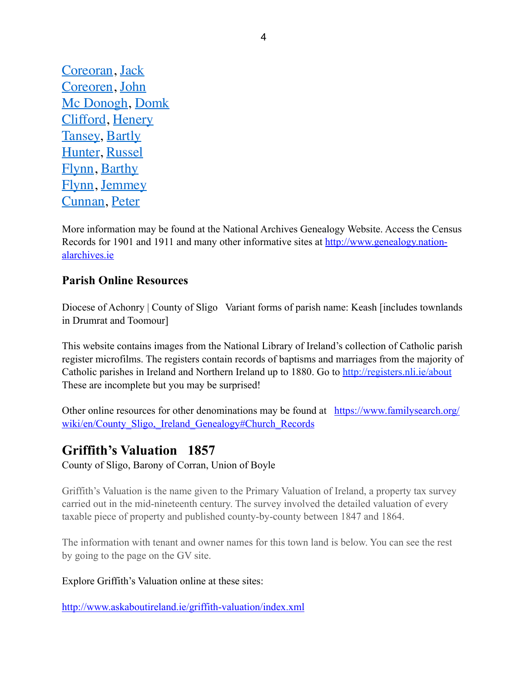[Coreoran,](http://titheapplotmentbooks.nationalarchives.ie/reels/tab//004625727/004625727_00087.pdf) [Jack](http://titheapplotmentbooks.nationalarchives.ie/reels/tab//004625727/004625727_00087.pdf) [Coreoren,](http://titheapplotmentbooks.nationalarchives.ie/reels/tab//004625727/004625727_00087.pdf) [John](http://titheapplotmentbooks.nationalarchives.ie/reels/tab//004625727/004625727_00087.pdf) [Mc Donogh,](http://titheapplotmentbooks.nationalarchives.ie/reels/tab//004625727/004625727_00087.pdf) [Domk](http://titheapplotmentbooks.nationalarchives.ie/reels/tab//004625727/004625727_00087.pdf) [Clifford](http://titheapplotmentbooks.nationalarchives.ie/reels/tab//004625727/004625727_00087.pdf), [Henery](http://titheapplotmentbooks.nationalarchives.ie/reels/tab//004625727/004625727_00087.pdf) [Tansey, Bartly](http://titheapplotmentbooks.nationalarchives.ie/reels/tab//004625727/004625727_00087.pdf) [Hunter,](http://titheapplotmentbooks.nationalarchives.ie/reels/tab//004625727/004625727_00087.pdf) [Russel](http://titheapplotmentbooks.nationalarchives.ie/reels/tab//004625727/004625727_00087.pdf) [Flynn](http://titheapplotmentbooks.nationalarchives.ie/reels/tab//004625727/004625727_00088.pdf), [Barthy](http://titheapplotmentbooks.nationalarchives.ie/reels/tab//004625727/004625727_00088.pdf) [Flynn](http://titheapplotmentbooks.nationalarchives.ie/reels/tab//004625727/004625727_00088.pdf), [Jemmey](http://titheapplotmentbooks.nationalarchives.ie/reels/tab//004625727/004625727_00088.pdf) [Cunnan,](http://titheapplotmentbooks.nationalarchives.ie/reels/tab//004625727/004625727_00088.pdf) [Peter](http://titheapplotmentbooks.nationalarchives.ie/reels/tab//004625727/004625727_00088.pdf)

More information may be found at the National Archives Genealogy Website. Access the Census [Records for 1901 and 1911 and many other informative sites at http://www.genealogy.nation](http://www.genealogy.nationalarchives.ie)alarchives.ie

## **Parish Online Resources**

Diocese of Achonry | County of Sligo Variant forms of parish name: Keash [includes townlands] in Drumrat and Toomour]

This website contains images from the National Library of Ireland's collection of Catholic parish register microfilms. The registers contain records of baptisms and marriages from the majority of Catholic parishes in Ireland and Northern Ireland up to 1880. Go to <http://registers.nli.ie/about> These are incomplete but you may be surprised!

[Other online resources for other denominations may be found at https://www.familysearch.org/](https://www.familysearch.org/wiki/en/County_Sligo,_Ireland_Genealogy#Church_Records) wiki/en/County Sligo, Ireland Genealogy#Church Records

## **Griffith's Valuation 1857**

County of Sligo, Barony of Corran, Union of Boyle

Griffith's Valuation is the name given to the Primary Valuation of Ireland, a property tax survey carried out in the mid-nineteenth century. The survey involved the detailed valuation of every taxable piece of property and published county-by-county between 1847 and 1864.

The information with tenant and owner names for this town land is below. You can see the rest by going to the page on the GV site.

#### Explore Griffith's Valuation online at these sites:

<http://www.askaboutireland.ie/griffith-valuation/index.xml>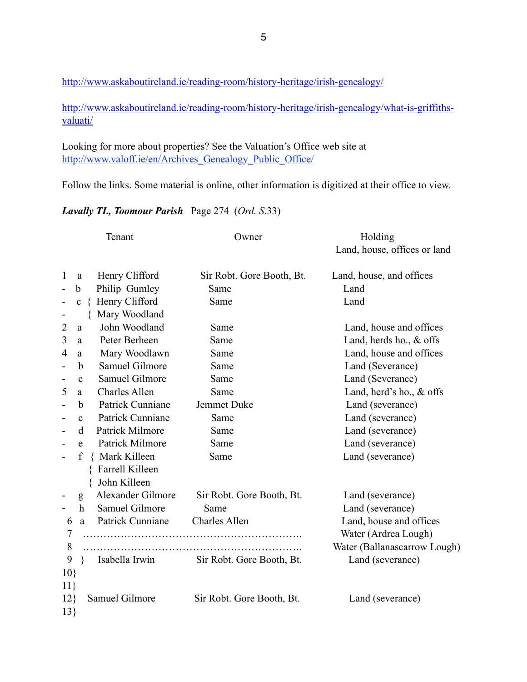<http://www.askaboutireland.ie/reading-room/history-heritage/irish-genealogy/>

[http://www.askaboutireland.ie/reading-room/history-heritage/irish-genealogy/what-is-griffiths](http://www.askaboutireland.ie/reading-room/history-heritage/irish-genealogy/what-is-griffiths-valuati/)valuati/

Looking for more about properties? See the Valuation's Office web site at [http://www.valoff.ie/en/Archives\\_Genealogy\\_Public\\_Office/](http://www.valoff.ie/en/Archives_Genealogy_Public_Office/) 

Follow the links. Some material is online, other information is digitized at their office to view.

*Lavally TL, Toomour Parish* Page 274 (*Ord. S*.33)

| Tenant          |                  |                       | Owner                     | Holding                      |  |  |
|-----------------|------------------|-----------------------|---------------------------|------------------------------|--|--|
|                 |                  |                       |                           | Land, house, offices or land |  |  |
| $\mathbf{1}$    | a                | Henry Clifford        | Sir Robt. Gore Booth, Bt. | Land, house, and offices     |  |  |
|                 | b                | Philip Gumley         | Same                      | Land                         |  |  |
| -               | $\mathbf c$      | { Henry Clifford      | Same                      | Land                         |  |  |
| $\overline{a}$  |                  | Mary Woodland         |                           |                              |  |  |
| $\overline{2}$  | a                | John Woodland         | Same                      | Land, house and offices      |  |  |
| 3               | a                | Peter Berheen         | Same                      | Land, herds ho., $&$ offs    |  |  |
| $\overline{4}$  | a                | Mary Woodlawn         | Same                      | Land, house and offices      |  |  |
| Ē,              | $\mathbf b$      | Samuel Gilmore        | Same                      | Land (Severance)             |  |  |
| ÷               | $\mathbf{c}$     | <b>Samuel Gilmore</b> | Same                      | Land (Severance)             |  |  |
| 5               | a                | <b>Charles Allen</b>  | Same                      | Land, herd's ho., & offs     |  |  |
|                 | b                | Patrick Cunniane      | Jemmet Duke               | Land (severance)             |  |  |
|                 | $\mathbf c$      | Patrick Cunniane      | Same                      | Land (severance)             |  |  |
|                 | d                | Patrick Milmore       | Same                      | Land (severance)             |  |  |
|                 | e                | Patrick Milmore       | Same                      | Land (severance)             |  |  |
|                 | $\mathbf f$      | { Mark Killeen        | Same                      | Land (severance)             |  |  |
|                 |                  | Farrell Killeen       |                           |                              |  |  |
|                 |                  | John Killeen          |                           |                              |  |  |
|                 | g                | Alexander Gilmore     | Sir Robt. Gore Booth, Bt. | Land (severance)             |  |  |
|                 | $\boldsymbol{h}$ | Samuel Gilmore        | Same                      | Land (severance)             |  |  |
| 6               | $\mathbf{a}$     | Patrick Cunniane      | <b>Charles Allen</b>      | Land, house and offices      |  |  |
| 7               |                  |                       |                           | Water (Ardrea Lough)         |  |  |
| 8               |                  |                       |                           | Water (Ballanascarrow Lough) |  |  |
| 9               | $\}$             | Isabella Irwin        | Sir Robt. Gore Booth, Bt. | Land (severance)             |  |  |
| 10 <sup>3</sup> |                  |                       |                           |                              |  |  |
| 11              |                  |                       |                           |                              |  |  |
| 12              |                  | Samuel Gilmore        | Sir Robt. Gore Booth, Bt. | Land (severance)             |  |  |
| 13              |                  |                       |                           |                              |  |  |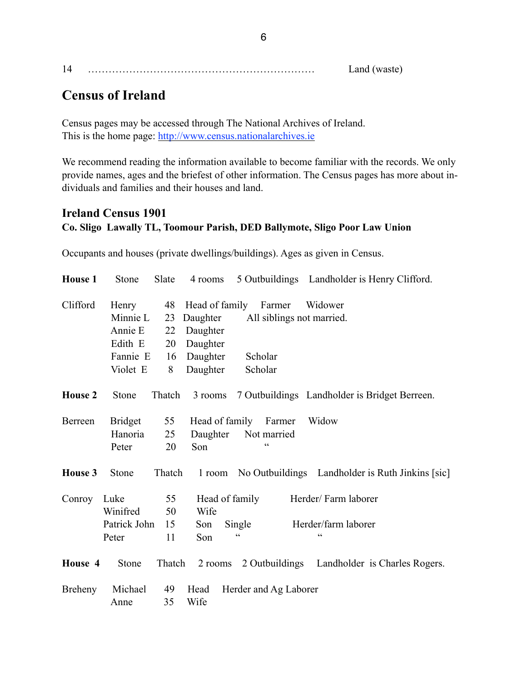|  | $\sim$<br>W<br>$\sim$ |
|--|-----------------------|
|  |                       |

# **Census of Ireland**

Census pages may be accessed through The National Archives of Ireland. This is the home page: <http://www.census.nationalarchives.ie>

We recommend reading the information available to become familiar with the records. We only provide names, ages and the briefest of other information. The Census pages has more about individuals and families and their houses and land.

## **Ireland Census 1901 Co. Sligo Lawally TL, Toomour Parish, DED Ballymote, Sligo Poor Law Union**

Occupants and houses (private dwellings/buildings). Ages as given in Census.

| <b>House 1</b> | <b>Stone</b>                                                    | Slate                     | 4 rooms                                                  |                                                                             | 5 Outbuildings Landholder is Henry Clifford.            |
|----------------|-----------------------------------------------------------------|---------------------------|----------------------------------------------------------|-----------------------------------------------------------------------------|---------------------------------------------------------|
| Clifford       | Henry<br>Minnie L<br>Annie E<br>Edith E<br>Fannie E<br>Violet E | 23<br>22<br>20<br>16<br>8 | Daughter<br>Daughter<br>Daughter<br>Daughter<br>Daughter | 48 Head of family Farmer<br>All siblings not married.<br>Scholar<br>Scholar | Widower                                                 |
| <b>House 2</b> | Stone                                                           | Thatch                    | 3 rooms                                                  |                                                                             | 7 Outbuildings Landholder is Bridget Berreen.           |
| Berreen        | <b>Bridget</b><br>Hanoria<br>Peter                              | 55<br>25<br>20            | Head of family<br>Daughter<br>Son                        | Farmer<br>Not married<br>$\epsilon$                                         | Widow                                                   |
| House 3        | Stone                                                           | Thatch                    |                                                          |                                                                             | 1 room No Outbuildings Landholder is Ruth Jinkins [sic] |
| Conroy         | Luke<br>Winifred<br>Patrick John<br>Peter                       | 55<br>50<br>15<br>11      | Wife<br>Son<br>Son                                       | Head of family<br>Single<br>$\pmb{\zeta}$ $\pmb{\zeta}$                     | Herder/Farm laborer<br>Herder/farm laborer<br>cc        |
| House 4        | Stone                                                           | Thatch                    | 2 rooms                                                  |                                                                             | 2 Outbuildings Landholder is Charles Rogers.            |
| Breheny        | Michael<br>Anne                                                 | 49<br>35                  | Head<br>Wife                                             | Herder and Ag Laborer                                                       |                                                         |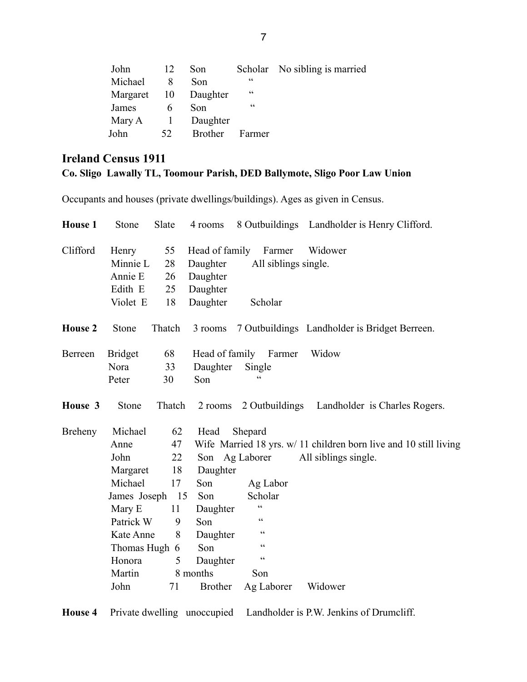| John    | 12 | Son                  |        | Scholar No sibling is married |
|---------|----|----------------------|--------|-------------------------------|
| Michael |    | Son                  | cc     |                               |
|         |    | Margaret 10 Daughter | cc     |                               |
| James   |    | Son                  | cc     |                               |
| Mary A  |    | 1 Daughter           |        |                               |
| John    | 52 | <b>Brother</b>       | Farmer |                               |

## **Ireland Census 1911 Co. Sligo Lawally TL, Toomour Parish, DED Ballymote, Sligo Poor Law Union**

Occupants and houses (private dwellings/buildings). Ages as given in Census.

| <b>House 1</b> | Stone                                    | Slate    | 4 rooms                    |                                | 8 Outbuildings Landholder is Henry Clifford.                      |
|----------------|------------------------------------------|----------|----------------------------|--------------------------------|-------------------------------------------------------------------|
| Clifford       | 55<br>Henry<br>Minnie L<br>28<br>Annie E |          | Head of family<br>Daughter | Farmer<br>All siblings single. | Widower                                                           |
|                | Edith E                                  | 26<br>25 | Daughter<br>Daughter       |                                |                                                                   |
|                | Violet E                                 | 18       | Daughter                   | Scholar                        |                                                                   |
| <b>House 2</b> | Stone                                    | Thatch   | 3 rooms                    |                                | 7 Outbuildings Landholder is Bridget Berreen.                     |
| Berreen        | 68<br><b>Bridget</b>                     |          |                            | Head of family Farmer          | Widow                                                             |
|                | Nora                                     | 33       | Daughter                   | Single                         |                                                                   |
|                | Peter                                    | 30       | Son                        |                                |                                                                   |
| House 3        | Stone                                    | Thatch   | 2 rooms                    |                                | 2 Outbuildings Landholder is Charles Rogers.                      |
| <b>Breheny</b> | Michael                                  | 62       | Head                       | Shepard                        |                                                                   |
|                | Anne                                     | 47       |                            |                                | Wife Married 18 yrs. w/ 11 children born live and 10 still living |
|                | John                                     | 22       | Son Ag Laborer             |                                | All siblings single.                                              |
|                | Margaret                                 | 18       | Daughter                   |                                |                                                                   |
|                | Michael                                  | 17       | Son                        | Ag Labor                       |                                                                   |
|                | James Joseph                             | 15       | Son                        | Scholar                        |                                                                   |
|                | Mary E                                   | 11       | Daughter                   | $\epsilon$                     |                                                                   |
|                | Patrick W                                | 9        | Son                        | $\epsilon$                     |                                                                   |
|                | Kate Anne                                | 8        | Daughter                   | $\zeta$ $\zeta$                |                                                                   |
|                | Thomas Hugh 6                            |          | Son                        | $\zeta$ $\zeta$                |                                                                   |
|                | Honora                                   | 5        | Daughter                   | $\zeta \, \zeta$               |                                                                   |
|                | Martin                                   |          | 8 months                   | Son                            |                                                                   |
|                | John                                     | 71       | <b>Brother</b>             | Ag Laborer                     | Widower                                                           |

**House 4** Private dwelling unoccupied Landholder is P.W. Jenkins of Drumcliff.